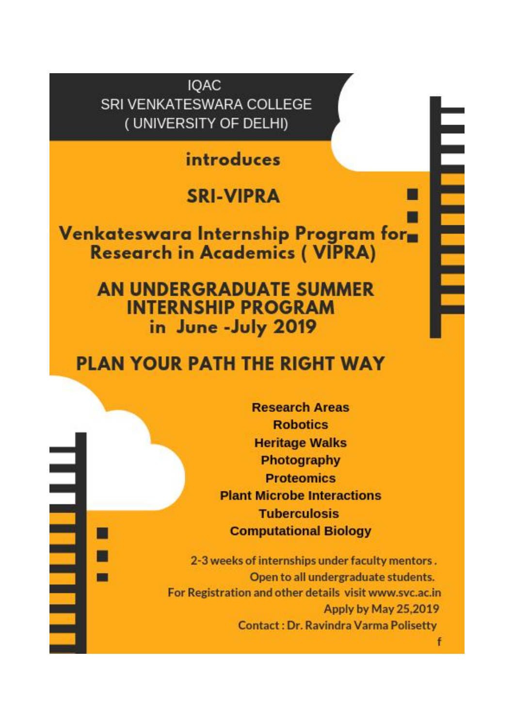**IQAC** SRI VENKATESWARA COLLEGE (UNIVERSITY OF DELHI)

introduces

# **SRI-VIPRA**

Venkateswara Internship Program for **Research in Academics (VIPRA)** 

> **AN UNDERGRADUATE SUMMER INTERNSHIP PROGRAM** in June - July 2019

## **PLAN YOUR PATH THE RIGHT WAY**

**Research Areas Robotics Heritage Walks** Photography **Proteomics Plant Microbe Interactions Tuberculosis Computational Biology** 

2-3 weeks of internships under faculty mentors. Open to all undergraduate students. For Registration and other details visit www.svc.ac.in Apply by May 25,2019 **Contact: Dr. Ravindra Varma Polisetty** 

<u>THE FILE</u>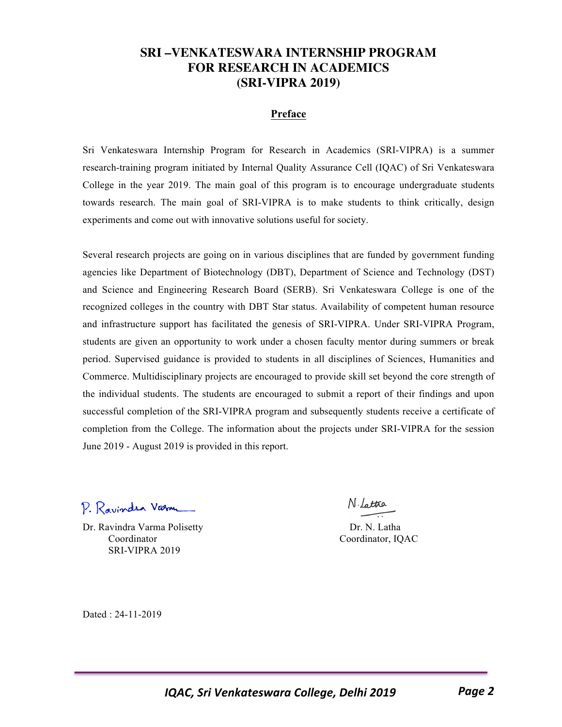### **SRI –VENKATESWARA INTERNSHIP PROGRAM FOR RESEARCH IN ACADEMICS (SRI-VIPRA 2019)**

#### **Preface**

Sri Venkateswara Internship Program for Research in Academics (SRI-VIPRA) is a summer research-training program initiated by Internal Quality Assurance Cell (IQAC) of Sri Venkateswara College in the year 2019. The main goal of this program is to encourage undergraduate students towards research. The main goal of SRI-VIPRA is to make students to think critically, design experiments and come out with innovative solutions useful for society.

Several research projects are going on in various disciplines that are funded by government funding agencies like Department of Biotechnology (DBT), Department of Science and Technology (DST) and Science and Engineering Research Board (SERB). Sri Venkateswara College is one of the recognized colleges in the country with DBT Star status. Availability of competent human resource and infrastructure support has facilitated the genesis of SRI-VIPRA. Under SRI-VIPRA Program, students are given an opportunity to work under a chosen faculty mentor during summers or break period. Supervised guidance is provided to students in all disciplines of Sciences, Humanities and Commerce. Multidisciplinary projects are encouraged to provide skill set beyond the core strength of the individual students. The students are encouraged to submit a report of their findings and upon successful completion of the SRI-VIPRA program and subsequently students receive a certificate of completion from the College. The information about the projects under SRI-VIPRA for the session June 2019 - August 2019 is provided in this report.

P. Ravindra Varm

Dr. Ravindra Varma Polisetty Dr. N. Latha Coordinator Coordinator, IQAC SRI-VIPRA 2019

N. Lattra

Dated : 24-11-2019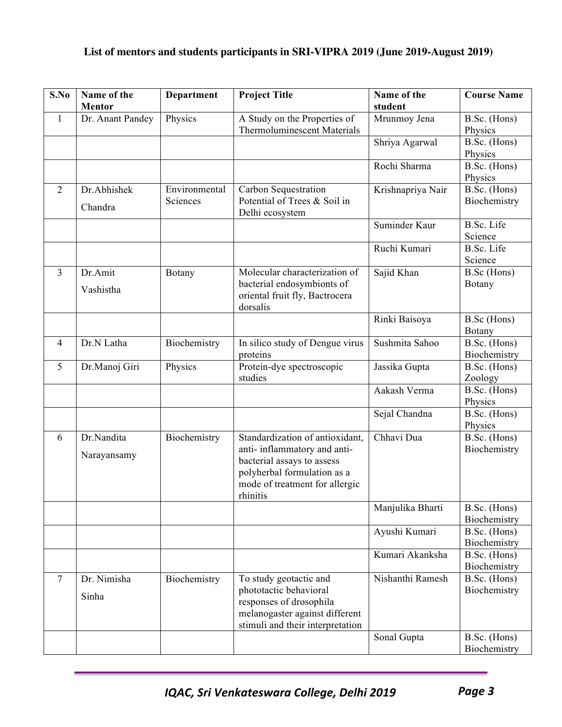### **List of mentors and students participants in SRI-VIPRA 2019 (June 2019-August 2019)**

| S.No           | Name of the<br><b>Mentor</b> | <b>Department</b>         | <b>Project Title</b>                                                                                                                                                       | Name of the<br>student | <b>Course Name</b>           |
|----------------|------------------------------|---------------------------|----------------------------------------------------------------------------------------------------------------------------------------------------------------------------|------------------------|------------------------------|
| $\mathbf{1}$   | Dr. Anant Pandey             | Physics                   | A Study on the Properties of<br><b>Thermoluminescent Materials</b>                                                                                                         | Mrunmoy Jena           | B.Sc. (Hons)<br>Physics      |
|                |                              |                           |                                                                                                                                                                            | Shriya Agarwal         | B.Sc. (Hons)<br>Physics      |
|                |                              |                           |                                                                                                                                                                            | Rochi Sharma           | B.Sc. (Hons)<br>Physics      |
| 2              | Dr.Abhishek<br>Chandra       | Environmental<br>Sciences | Carbon Sequestration<br>Potential of Trees & Soil in<br>Delhi ecosystem                                                                                                    | Krishnapriya Nair      | B.Sc. (Hons)<br>Biochemistry |
|                |                              |                           |                                                                                                                                                                            | Suminder Kaur          | <b>B.Sc.</b> Life<br>Science |
|                |                              |                           |                                                                                                                                                                            | Ruchi Kumari           | <b>B.Sc.</b> Life<br>Science |
| 3              | Dr.Amit<br>Vashistha         | Botany                    | Molecular characterization of<br>bacterial endosymbionts of<br>oriental fruit fly, Bactrocera<br>dorsalis                                                                  | Sajid Khan             | B.Sc (Hons)<br>Botany        |
|                |                              |                           |                                                                                                                                                                            | Rinki Baisoya          | B.Sc (Hons)<br>Botany        |
| $\overline{4}$ | Dr.N Latha                   | Biochemistry              | In silico study of Dengue virus<br>proteins                                                                                                                                | Sushmita Sahoo         | B.Sc. (Hons)<br>Biochemistry |
| 5              | Dr.Manoj Giri                | Physics                   | Protein-dye spectroscopic<br>studies                                                                                                                                       | Jassika Gupta          | B.Sc. (Hons)<br>Zoology      |
|                |                              |                           |                                                                                                                                                                            | Aakash Verma           | B.Sc. (Hons)<br>Physics      |
|                |                              |                           |                                                                                                                                                                            | Sejal Chandna          | B.Sc. (Hons)<br>Physics      |
| 6              | Dr.Nandita<br>Narayansamy    | Biochemistry              | Standardization of antioxidant,<br>anti- inflammatory and anti-<br>bacterial assays to assess<br>polyherbal formulation as a<br>mode of treatment for allergic<br>rhinitis | Chhavi Dua             | B.Sc. (Hons)<br>Biochemistry |
|                |                              |                           |                                                                                                                                                                            | Manjulika Bharti       | B.Sc. (Hons)<br>Biochemistry |
|                |                              |                           |                                                                                                                                                                            | Ayushi Kumari          | B.Sc. (Hons)<br>Biochemistry |
|                |                              |                           |                                                                                                                                                                            | Kumari Akanksha        | B.Sc. (Hons)<br>Biochemistry |
| $\tau$         | Dr. Nimisha<br>Sinha         | Biochemistry              | To study geotactic and<br>phototactic behavioral<br>responses of drosophila<br>melanogaster against different<br>stimuli and their interpretation                          | Nishanthi Ramesh       | B.Sc. (Hons)<br>Biochemistry |
|                |                              |                           |                                                                                                                                                                            | Sonal Gupta            | B.Sc. (Hons)<br>Biochemistry |